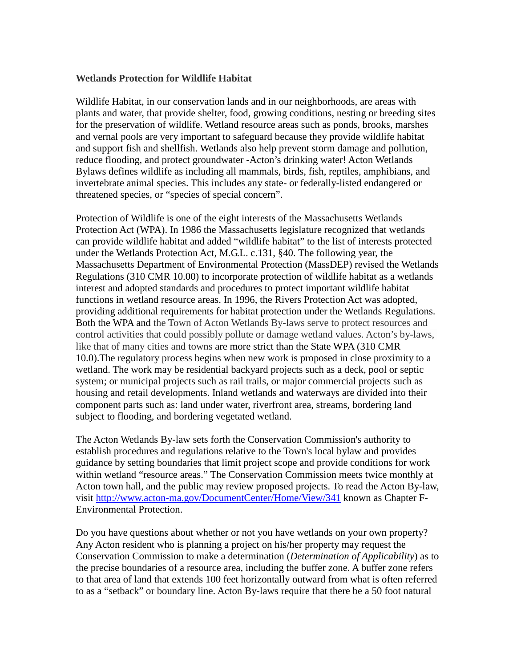## **Wetlands Protection for Wildlife Habitat**

Wildlife Habitat, in our conservation lands and in our neighborhoods, are areas with plants and water, that provide shelter, food, growing conditions, nesting or breeding sites for the preservation of wildlife. Wetland resource areas such as ponds, brooks, marshes and vernal pools are very important to safeguard because they provide wildlife habitat and support fish and shellfish. Wetlands also help prevent storm damage and pollution, reduce flooding, and protect groundwater -Acton's drinking water! Acton Wetlands Bylaws defines wildlife as including all mammals, birds, fish, reptiles, amphibians, and invertebrate animal species. This includes any state- or federally-listed endangered or threatened species, or "species of special concern".

Protection of Wildlife is one of the eight interests of the Massachusetts Wetlands Protection Act (WPA). In 1986 the Massachusetts legislature recognized that wetlands can provide wildlife habitat and added "wildlife habitat" to the list of interests protected under the Wetlands Protection Act, M.G.L. c.131, §40. The following year, the Massachusetts Department of Environmental Protection (MassDEP) revised the Wetlands Regulations (310 CMR 10.00) to incorporate protection of wildlife habitat as a wetlands interest and adopted standards and procedures to protect important wildlife habitat functions in wetland resource areas. In 1996, the Rivers Protection Act was adopted, providing additional requirements for habitat protection under the Wetlands Regulations. Both the WPA and the Town of Acton Wetlands By-laws serve to protect resources and control activities that could possibly pollute or damage wetland values. Acton's by-laws, like that of many cities and towns are more strict than the State WPA (310 CMR 10.0).The regulatory process begins when new work is proposed in close proximity to a wetland. The work may be residential backyard projects such as a deck, pool or septic system; or municipal projects such as rail trails, or major commercial projects such as housing and retail developments. Inland wetlands and waterways are divided into their component parts such as: land under water, riverfront area, streams, bordering land subject to flooding, and bordering vegetated wetland.

The Acton Wetlands By-law sets forth the Conservation Commission's authority to establish procedures and regulations relative to the Town's local bylaw and provides guidance by setting boundaries that limit project scope and provide conditions for work within wetland "resource areas." The Conservation Commission meets twice monthly at Acton town hall, and the public may review proposed projects. To read the Acton By-law, visit<http://www.acton-ma.gov/DocumentCenter/Home/View/341> known as Chapter F-Environmental Protection.

Do you have questions about whether or not you have wetlands on your own property? Any Acton resident who is planning a project on his/her property may request the Conservation Commission to make a determination (*Determination of Applicability*) as to the precise boundaries of a resource area, including the buffer zone. A buffer zone refers to that area of land that extends 100 feet horizontally outward from what is often referred to as a "setback" or boundary line. Acton By-laws require that there be a 50 foot natural